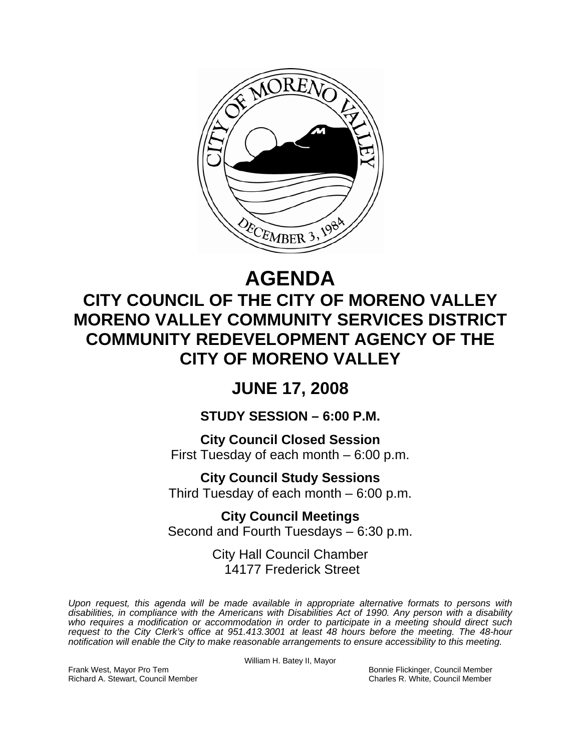

# **AGENDA**

## **CITY COUNCIL OF THE CITY OF MORENO VALLEY MORENO VALLEY COMMUNITY SERVICES DISTRICT COMMUNITY REDEVELOPMENT AGENCY OF THE CITY OF MORENO VALLEY**

### **JUNE 17, 2008**

**STUDY SESSION – 6:00 P.M.** 

**City Council Closed Session**  First Tuesday of each month – 6:00 p.m.

**City Council Study Sessions**  Third Tuesday of each month – 6:00 p.m.

**City Council Meetings**  Second and Fourth Tuesdays – 6:30 p.m.

> City Hall Council Chamber 14177 Frederick Street

*Upon request, this agenda will be made available in appropriate alternative formats to persons with disabilities, in compliance with the Americans with Disabilities Act of 1990. Any person with a disability*  who requires a modification or accommodation in order to participate in a meeting should direct such *request to the City Clerk's office at 951.413.3001 at least 48 hours before the meeting. The 48-hour notification will enable the City to make reasonable arrangements to ensure accessibility to this meeting.* 

William H. Batey II, Mayor

Frank West, Mayor Pro Tem Bonnie Flickinger, Council Member Richard A. Stewart, Council Member Charles R. White, Council Member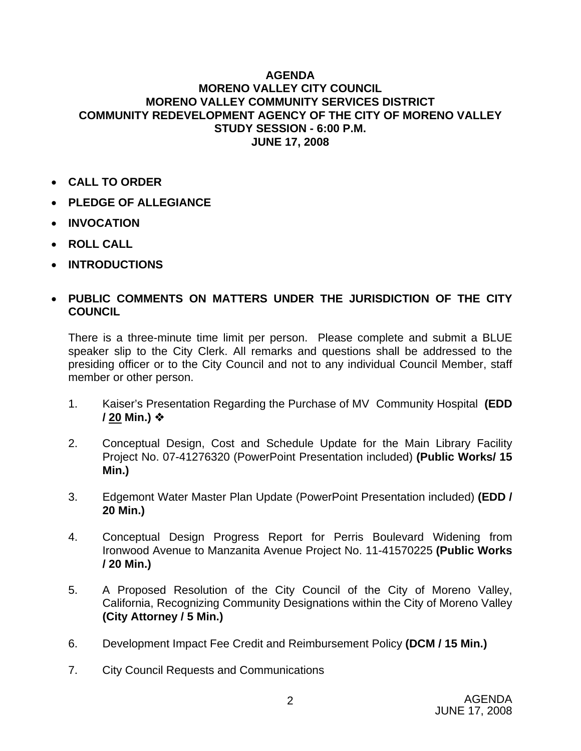#### **AGENDA MORENO VALLEY CITY COUNCIL MORENO VALLEY COMMUNITY SERVICES DISTRICT COMMUNITY REDEVELOPMENT AGENCY OF THE CITY OF MORENO VALLEY STUDY SESSION - 6:00 P.M. JUNE 17, 2008**

- **CALL TO ORDER**
- **PLEDGE OF ALLEGIANCE**
- **INVOCATION**
- **ROLL CALL**
- **INTRODUCTIONS**

#### • **PUBLIC COMMENTS ON MATTERS UNDER THE JURISDICTION OF THE CITY COUNCIL**

There is a three-minute time limit per person. Please complete and submit a BLUE speaker slip to the City Clerk. All remarks and questions shall be addressed to the presiding officer or to the City Council and not to any individual Council Member, staff member or other person.

- 1. Kaiser's Presentation Regarding the Purchase of MV Community Hospital **(EDD / 20 Min.)**
- 2. Conceptual Design, Cost and Schedule Update for the Main Library Facility Project No. 07-41276320 (PowerPoint Presentation included) **(Public Works/ 15 Min.)**
- 3. Edgemont Water Master Plan Update (PowerPoint Presentation included) **(EDD / 20 Min.)**
- 4. Conceptual Design Progress Report for Perris Boulevard Widening from Ironwood Avenue to Manzanita Avenue Project No. 11-41570225 **(Public Works / 20 Min.)**
- 5. A Proposed Resolution of the City Council of the City of Moreno Valley, California, Recognizing Community Designations within the City of Moreno Valley **(City Attorney / 5 Min.)**
- 6. Development Impact Fee Credit and Reimbursement Policy **(DCM / 15 Min.)**
- 7. City Council Requests and Communications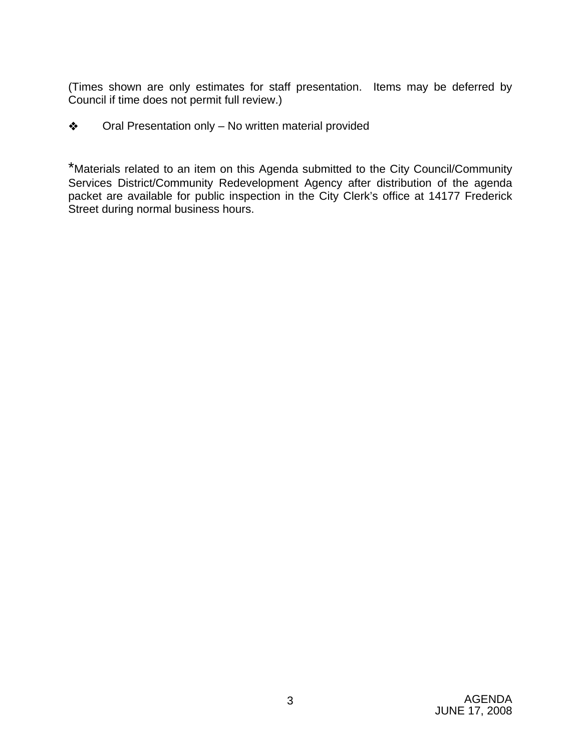(Times shown are only estimates for staff presentation. Items may be deferred by Council if time does not permit full review.)

 $\triangleleft$  Oral Presentation only – No written material provided

\*Materials related to an item on this Agenda submitted to the City Council/Community Services District/Community Redevelopment Agency after distribution of the agenda packet are available for public inspection in the City Clerk's office at 14177 Frederick Street during normal business hours.